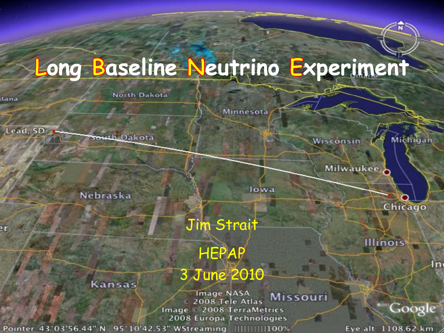# **Long Baseline Neutrino Experiment**

**Minnesota** 

itana

2T

Lead, SD

South Dakota

**North Dakota** 

**Nebraska** 

lowa

Chicago

 $\mathsf{In}$ 

Michigan

Wisconsin

Milwaukee

# Jim Strait

#### HEPAP

#### 3 June 2010

Kansas

**Image NASA Missouri** 2008 Tele Atlas Image © 2008 TerraMetrics 2008 Europa Technologies

Pointer 43°03'56.44" N 95°10'42.53" WStreaming ||||||||||100%

Eye alt 1108.62 km

Google

**Illinois**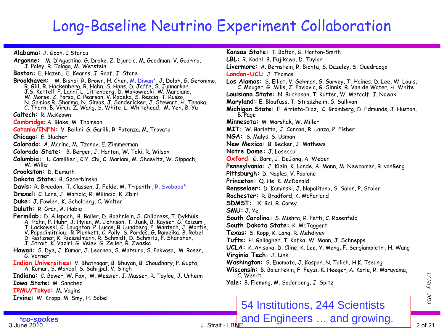# Long-Baseline Neutrino Experiment Collaboration

**Alabama:** J. Goon, I Stancu

**Argonne:** M. D'Agostino, G. Drake. Z. Djurcic, M. Goodman, V. Guarino, J. Paley, R. Talaga, M. Wetstein **Boston:** E. Hazen**,** E. Kearns, J. Raaf, J. Stone **Brookhaven:** M. Bishai, R. Brown, H. Chen, M. Diwan\*, J. Dolph, G. Geronimo, R. Gill, R. Hackenberg, R. Hahn, S. Hans, D. Jaffe, S. Junnarkar, J.S. Kettell, F. Lanni, L. Littenberg, D. Makowiecki, W. Marciano, J.S. Kettell, F. Lanni, L. Littenberg, D. Makowiecki, W. Marciano, **Louisiana State:** N. Buchanan, T. Kutter, W. Metcalf, J. Nowak<br>W. Morse, Z. Parsa, C. Pearson, V. Radeka, S. Rescia, T. Russo, N. Samios,R. Sharma, N. Simos, J. Sondericker, J. Stewart, H. Tanaka, C. Thorn, B. Viren, Z. Wang, S. White, L. Whitehead, M. Yeh, B. Yu **Caltech:** R. McKeown**Cambridge**: A. Blake, M. Thomson **Catania/INFN:** V. Bellini, G. Garilli, R. Potenza, M. Trovato **Chicago:** E. Blucher **Colorado:** A. Marino, M. Tzanov, E. Zimmerman **New Mexico:** B. Becker, J. Math **Colorado State:** B. Berger, J. Harton, W. Toki, R. Wilson **Columbia:** L. Camillieri, C.Y. Chi, C. Mariani, M. Shaevitz, W. Sippach, W. Willis **Crookston:** D. Demuth**Dakota State:** B. Szcerbinska**Davis:** R. Breedon, T. Classen, J. Felde, M. Tripanthi, R. Svoboda\* **Rensselaer:** D. Kaminski, J. Napolitano, S. Salon, P. Stoler <sup>p</sup> **Drexel:** C. Lane, J. Maricic, R. Milincic, K. Zbiri **Rensselaer Duke:** J. Fowler, K. Scholberg, C. Walter **Duluth:** R. Gran, A. Habig **Fermilab:** D. Allspach, B. Baller, D. Boehnlein, S. Childress, T. Dykhuis,<br>A. Hahn, P. Huhr, J. Hylen, M. Johnson, T. Junk, B. Kayser, G. Koizumi,<br>T. Lackowski, C. Laughton, P. Lucas, B. Lundberg, P. Mantsch, J. Morfin,<br>V D. Reitzner, K. Riesselmann, R. Schmidt, D. Schmitz, P. Shanahan, J. Strait, K. Vaziri, G. Velev, G. Zeller, R. Zwaska **Hawaii:** S. Dye, J. Kumar, J. Learned, S. Matsuno, S. Pakvasa, M. Rosen, G. Varner**Indian Universities:** V. Bhatnagar, B. Bhuyan, B. Choudhary, P. Gupta, A. Kumar, S. Mandal, S. Sahijpal, V. Singh

**Iowa State:** M. Sanchez

**IPMU/Tokyo:** M. Vagins

3 June 2010

**Irvine:** W. Kropp, M. Smy, H. Sobel

**Kansas State:** T. Bolton, G. Horton-Smith **LBL:** R. Kadel, B. Fujikawa, D. Taylor **Livermore:** A. Bernstein, R. Bionta, S. Dazeley, S. Ouedraogo **London-UCL**: J. Thomas **Los Alamos:** S. Elliot, V. Gehman, G. Garvey, T. Haines, D. Lee, W. Louis, C. Mauger, G. Mills, Z. Pavlovic, G. Sinnis, R. Van de Water, H. White N. Buchanan, T. Kutter, W. Metcalf, J. Nowak **Maryland:** E. Blaufuss, T. Straszheim, G. Sullivan **Michigan State:** E. Arrieta-Diaz**,** C. Bromberg, D. Edmunds, J. Huston, B. Page **Minnesota:** M. Marshak, W. Miller **MIT:** W. Barletta, J. Conrad, R. Lanza, P. Fisher **NGA:** S. Malys, S. Usman **New Mexico:** B. Becker, J. Mathews **Notre Dame:** J. Losecco **Oxford**: G. Barr, J. DeJong, A. Weber **Pennsylvania:** J. Klein, K. Lande, A. Mann, M. Newcomer, R. vanBerg **Pittsburgh:** D. Naples, V. Paolone **Princeton:** Q. He, K. McDonald **Rochester:** R. Bradford, K. McFarland **SDMST:** X. Bai, R. Corey **SMU:** J. Ye**South Carolina:** S. Mishra, R. Petti, C. Rosenfeld **South Dakota State:** K. McTaggert **Texas:** S. Kopp, K. Lang, R. Mehdiyev **f Tu fts:** H. Gallagher, T. Kafka, W. Mann, J. Schnepps **Indiana:** C. Bower, W. Fox, M. Messier, J. Musser, R. Tayloe, J. Urheim *17 M* **State UCLA:** K. Arisaka, D. Cline, K. Lee, Y. Meng, F. Sergiampietri, H. Wang **Virginia Tech:** J. Link **Washington:** S. Enomoto, J. Kaspar, N. Tolich, H.K. Tseung Wisconsin: B. Balantekin, F. Feyzi, K. Heeger, A. Karle, R. Maruyama, C. Wendt **Yale:** B. Fleming, M. Soderberg, J. Spitz *a* External Find<br>
Factor Galerberg, J. Spitz<br>
Sand Scientists<br>
Sand Scientists<br>
Sand Contracts<br>
Sand Contracts<br>
Sand Contracts<br>
Sand Contracts

#### *\*co-spokes* and Engineers … and growing. J. Strait - LBNEE 2 of 21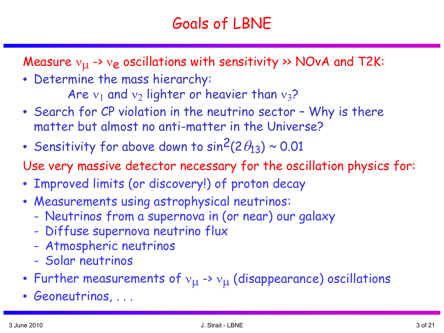## Goals of LBNE

Measure  $v_{\mu} \rightarrow v_{e}$  oscillations with sensitivity >> NOvA and T2K:

• Determine the mass hierarchy:

Are  ${\rm v_1}$  and  ${\rm v_2}$  lighter or heavier than  ${\rm v_3}$ ?

- Search for CP violation in the neutrino sector Why is there matter but almost no anti-matter in the Universe?
- •• Sensitivity for above down to sin $^2$ (2 $\theta_{\!13})$  ~ 0.01 .
- Use very massive detector necessary for the oscillation physics for:
- $\bullet$  Improved limits (or discovery!) of proton decay
- Measurements using astrophysical neutrinos:
	- -Neutrinos from a supernova in (or near) our galaxy
	- -Diffuse supernova neutrino flux
	- -Atmospheric neutrinos
	- Solar neutrinos
- Further measurements of  ${\rm v}_{\rm \mu}$  ->  ${\rm v}_{\rm \mu}$  (disappearance) oscillations
- Geoneutrinos, . . .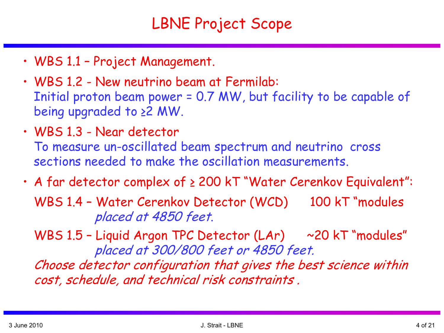# LBNE Project Scope

- WBS 1.1 Project Management.
- WBS 1.2 New neutrino beam at Fermilab: Initial proton beam power =  $0.7$  MW, but facility to be capable of being upgraded to ≥2 MW.
- WBS 1.3 Near detector To measure un-oscillated beam spectrum and neutrino cross sections needed to make the oscillation measurements.
- A far detector complex of ≥ 200 kT "Water Cerenkov Equivalent":

WBS 1.4 - Water Cerenkov Detector (WCD) 100 kT "modules placed at 4850 feet.

WBS  $1.5$  - Liquid Argon TPC Detector (LAr)  $\sim$  20 kT "modules" placed at 300/800 feet or 4850 feet. Choose detector configuration that gives the best science within

cost, schedule, and technical risk constraints.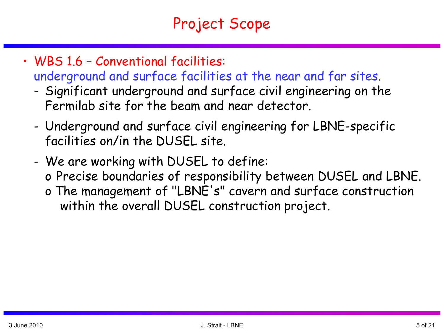# Project Scope

- WBS 1.6 Conventional facilities: underground and surface facilities at the near and far sites.
	- Significant underground and surface civil engineering on the Fermilab site for the beam and near detector.
	- Underground and surface civil engineering for LBNE-specific facilities on/in the DUSEL site.
	- We are working with DUSEL to define: <sup>o</sup> Precise boundaries of responsibility between DUSEL and LBNE. o The management of "LBNE's" cavern and surface construction within the overall DUSEL construction project.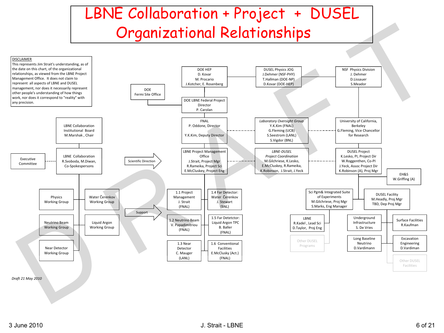



*Draft 21 May 2010*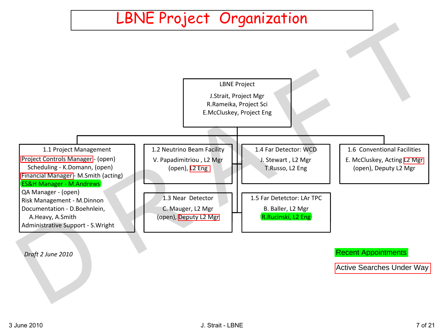

*Draft 2 June 2010*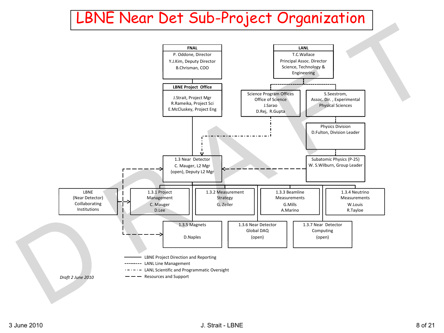#### LBNE Near Det Sub-Project Organization

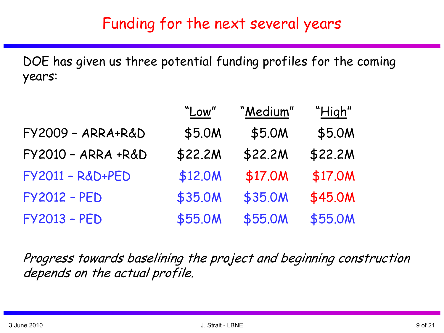#### Funding for the next several years

DOE has given us three potential funding profiles for the coming years:

|                              | "Low"   | "Medium" | "High"  |
|------------------------------|---------|----------|---------|
| <b>FY2009 - ARRA+R&amp;D</b> | \$5.0M  | \$5.0M   | \$5.0M  |
| FY2010 - ARRA +R&D           | \$22.2M | \$22.2M  | \$22.2M |
| <b>FY2011 - R&amp;D+PED</b>  | \$12.0M | \$17.0M  | \$17.0M |
| <b>FY2012 - PED</b>          | \$35.0M | \$35.0M  | \$45.0M |
| <b>FY2013 - PED</b>          | \$55.0M | \$55.0M  | \$55.0M |

Progress towards baselining the project and beginning construction depends on the actual profile.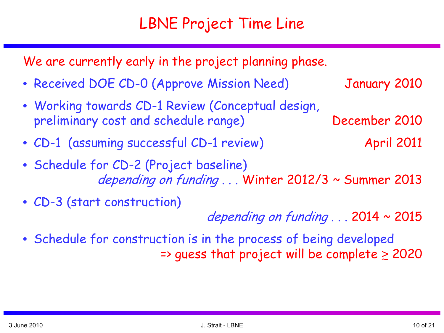We are currently early in the project planning phase.

- Received DOE CD-0 (Approve Mission Need) January 2010
- Working towards CD-1 Review (Conceptual design, preliminary cost and schedule range) December 2010
- CD-1 (assuming successful CD-1 review) April 2011
- Schedule for CD-2 (Project baseline) depending on funding . . . Winter 2012/3 ~ Summer 2013
- CD-3 (start construction)

depending on funding  $\dots$  2014  $\sim$  2015

• Schedule for construction is in the process of being developed => guess that project will be complete  $\geqslant 2020$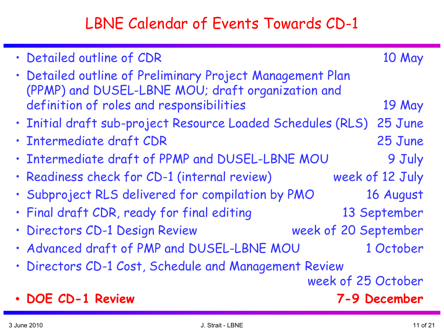#### LBNE Calendar of Events Towards CD-1

| · Detailed outline of CDR                                                                                    | 10 May          |
|--------------------------------------------------------------------------------------------------------------|-----------------|
| Detailed outline of Preliminary Project Management Plan<br>(PPMP) and DUSEL-LBNE MOU; draft organization and |                 |
| definition of roles and responsibilities                                                                     | 19 May          |
| · Initial draft sub-project Resource Loaded Schedules (RLS)                                                  | 25 June         |
| · Intermediate draft CDR                                                                                     | 25 June         |
| . Intermediate draft of PPMP and DUSEL-LBNE MOU                                                              | 9 July          |
| · Readiness check for CD-1 (internal review)                                                                 | week of 12 July |
| · Subproject RLS delivered for compilation by PMO                                                            | 16 August       |
| . Final draft CDR, ready for final editing                                                                   | 13 September    |
| · Directors CD-1 Design Review<br>week of 20 September                                                       |                 |
| · Advanced draft of PMP and DUSEL-LBNE MOU                                                                   | 1 October       |
| · Directors CD-1 Cost, Schedule and Management Review                                                        |                 |
| week of 25 October                                                                                           |                 |
| • DOE CD-1 Review                                                                                            | 7-9 December    |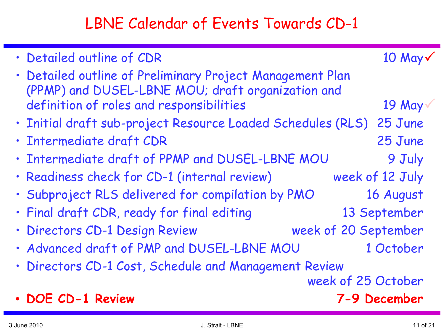#### LBNE Calendar of Events Towards CD-1

| · Detailed outline of CDR                                                                                      | 10 May $\checkmark$ |
|----------------------------------------------------------------------------------------------------------------|---------------------|
| · Detailed outline of Preliminary Project Management Plan<br>(PPMP) and DUSEL-LBNE MOU; draft organization and |                     |
| definition of roles and responsibilities                                                                       | 19 May $\vee$       |
| · Initial draft sub-project Resource Loaded Schedules (RLS)                                                    | 25 June             |
| · Intermediate draft CDR                                                                                       | 25 June             |
| . Intermediate draft of PPMP and DUSEL-LBNE MOU                                                                | 9 July              |
| · Readiness check for CD-1 (internal review)                                                                   | week of 12 July     |
| · Subproject RLS delivered for compilation by PMO                                                              | 16 August           |
| · Final draft CDR, ready for final editing                                                                     | 13 September        |
| · Directors CD-1 Design Review<br>week of 20 September                                                         |                     |
| · Advanced draft of PMP and DUSEL-LBNE MOU                                                                     | 1 October           |
| · Directors CD-1 Cost, Schedule and Management Review                                                          |                     |
| week of 25 October                                                                                             |                     |
| • DOE CD-1 Review                                                                                              | 7-9 December        |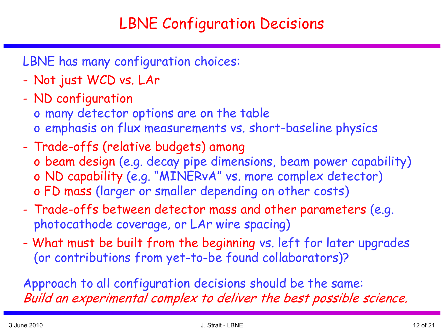LBNE has many configuration choices:

- Not just WCD vs. LAr
- ND configuration
	- <sup>o</sup> many detector options are on the table
	- <sup>o</sup> emphasis on flux measurements vs. short-baseline physics
- Trade-offs (relative budgets) among <sup>o</sup> beam design (e.g. decay pipe dimensions, beam power capability) <sup>o</sup> ND capability (e.g. "MINERvA" vs. more complex detector) o FD mass (larger or smaller depending on other costs)
- Trade-offs between detector mass and other parameters (e.g. photocathode coverage, or LAr wire spacing)
- What must be built from the beginning vs. left for later upgrades (or contributions from yet-to-be found collaborators)?

Approach to all configuration decisions should be the same: Build an experimental complex to deliver the best possible science.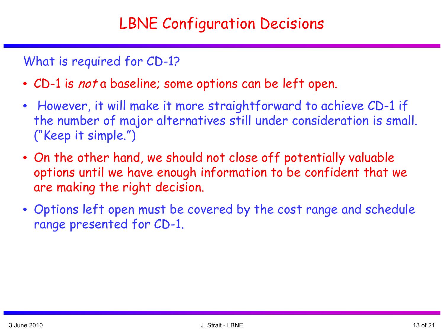#### What is required for CD-1?

- CD-1 is *not* a baseline; some options can be left open.
- $\bullet$  However, it will make it more straightforward to achieve CD-1 if the number of major alternatives still under consideration is small. ("Keep it simple.")
- On the other hand, we should not close off potentially valuable options until we have enough information to be confident that we are making the right decision.
- Options left open must be covered by the cost range and schedule range presented for CD-1.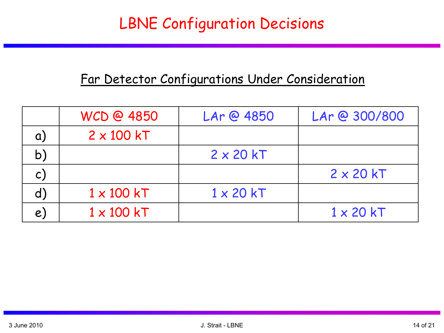# LBNE Configuration Decisions

#### Far Detector Configurations Under Consideration

|                          | <b>WCD @ 4850</b> | LAr @ 4850       | LAr @ 300/800    |
|--------------------------|-------------------|------------------|------------------|
| Q)                       | $2 \times 100$ kT |                  |                  |
| b)                       |                   | $2 \times 20$ kT |                  |
| $\mathsf{C}\,\mathsf{)}$ |                   |                  | $2 \times 20$ kT |
|                          | $1 \times 100$ kT | $1 \times 20$ kT |                  |
| e                        | $1 \times 100$ kT |                  | $1 \times 20$ kT |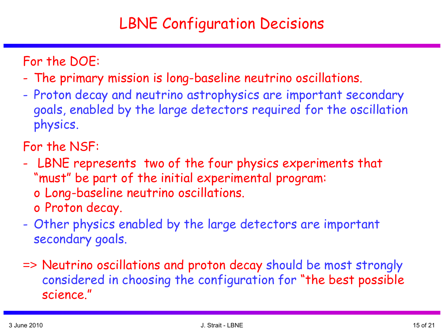# LBNE Configuration Decisions

For the DOE:

- The primary mission is long-baseline neutrino oscillations.
- Proton decay and neutrino astrophysics are important secondary goals, enabled by the large detectors required for the oscillation physics.

For the NSF:

- LBNE represents two of the four physics experiments that "must" be part of the initial experimental program: o Long-baseline neutrino oscillations. <sup>o</sup> Proton decay.
- Other physics enabled by the large detectors are important secondary goals.
- => Neutrino oscillations and proton decay should be most strongly considered in choosing the configuration for "the best possible science."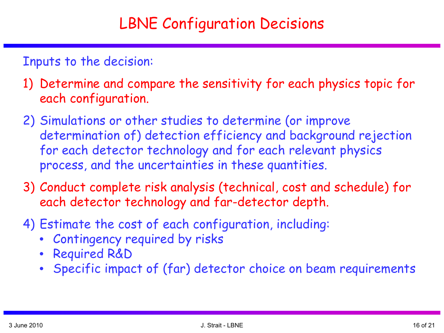#### Inputs to the decision:

- 1) Determine and compare the sensitivity for each physics topic for each configuration.
- 2) Simulations or other studies to determine (or improve determination of) detection efficiency and background rejection for each detector technology and for each relevant physics process, and the uncertainties in these quantities.
- 3) Conduct complete risk analysis (technical, cost and schedule) for each detector technology and far-detector depth.
- 4) Estimate the cost of each configuration, including:
	- Contingency required by risks
	- Required R&D
	- Specific impact of (far) detector choice on beam requirements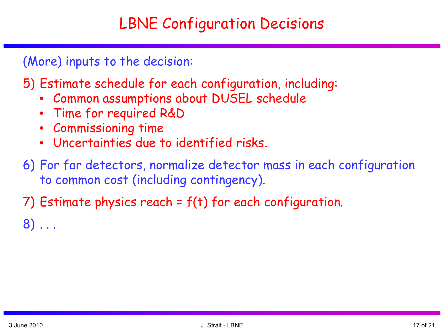(More) inputs to the decision:

5) Estimate schedule for each configuration, including:

- Common assumptions about DUSEL schedule
- Time for required R&D
- Commissioning time
- Uncertainties due to identified risks.
- 6) For far detectors, normalize detector mass in each configuration to common cost (including contingency).
- 7) Estimate physics reach = f(t) for each configuration.

8) . . .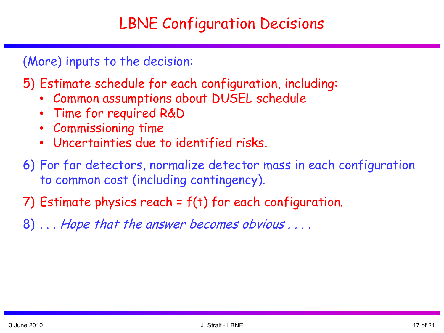(More) inputs to the decision:

5) Estimate schedule for each configuration, including:

- Common assumptions about DUSEL schedule
- Time for required R&D
- Commissioning time
- Uncertainties due to identified risks.
- 6) For far detectors, normalize detector mass in each configuration to common cost (including contingency).
- 7) Estimate physics reach = f(t) for each configuration.
- 8)... Hope that the answer becomes obvious....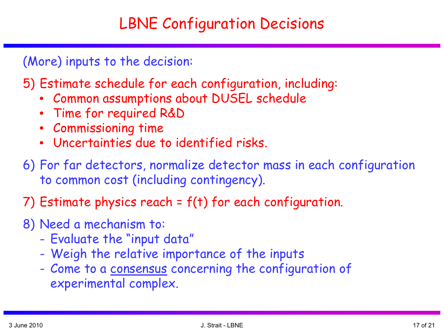(More) inputs to the decision:

5) Estimate schedule for each configuration, including:

- Common assumptions about DUSEL schedule
- Time for required R&D
- Commissioning time
- Uncertainties due to identified risks.
- 6) For far detectors, normalize detector mass in each configuration to common cost (including contingency).
- 7) Estimate physics reach = f(t) for each configuration.
- 8) Need a mechanism to:
	- -- Evaluate the "input data"
	- -Weigh the relative importance of the inputs
	- -Come to a consensus concerning the configuration of experimental complex.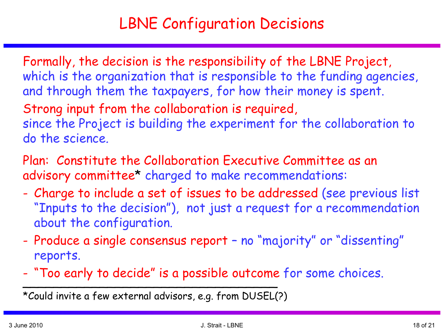Formally, the decision is the responsibility of the LBNE Project, which is the organization that is responsible to the funding agencies, and through them the taxpayers, for how their money is spent. Strong input from the collaboration is required, since the Project is building the experiment for the collaboration to do the science.

Plan: Constitute the Collaboration Executive Committee as an advisory committee \* charged to make recommendations:

- Charge to include a set of issues to be addressed (see previous list "Inputs to the decision"), not just a request for a recommendation about the configuration.
- Produce a single consensus report no "majority" or "dissenting" reports.
- -"Too early to decide" is a possible outcome for some choices.

\*Could invite a few external advisors, e.g. from DUSEL(?)

\_\_\_\_\_\_\_\_\_\_\_\_\_\_\_\_\_\_\_\_\_\_\_\_\_\_\_\_\_\_\_\_\_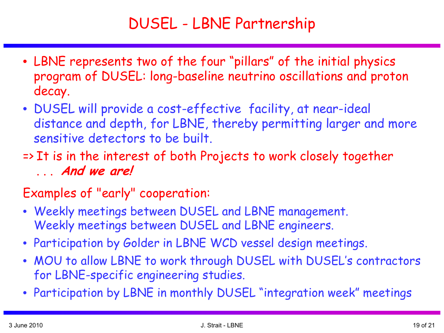## DUSEL - LBNE Partnership

- LBNE represents two of the four "pillars" of the initial physics program of DUSEL: long-baseline neutrino oscillations and proton decay.
- DUSEL will provide a cost-effective facility, at near-ideal distance and depth, for LBNE, thereby permitting larger and more sensitive detectors to be built.
- => It is in the interest of both Projects to work closely together . . . **And we are!**

#### Examples of "early" cooperation:

- Weekly meetings between DUSEL and LBNE management. Weekly meetings between DUSEL and LBNE engineers.
- Participation by Golder in LBNE WCD vessel design meetings.
- MOU to allow LBNE to work through DUSEL with DUSEL's contractors for LBNE-specific engineering studies.
- Participation by LBNE in monthly DUSEL "integration week" meetings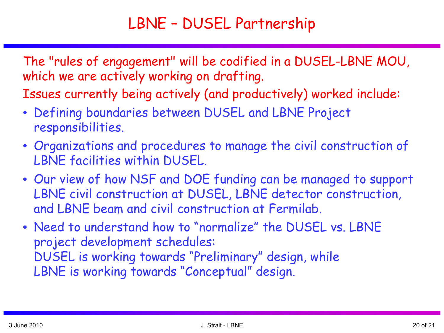The "rules of engagement" will be codified in a DUSEL-LBNE MOU, which we are actively working on drafting.

Issues currently being actively (and productively) worked include:

- Defining boundaries between DUSEL and LBNE Project responsibilities.
- Organizations and procedures to manage the civil construction of LBNE facilities within DUSEL.
- Our view of how NSF and DOE funding can be managed to support LBNE civil construction at DUSEL, LBNE detector construction, and LBNE beam and civil construction at Fermilab.
- Need to understand how to "normalize" the DUSEL vs. LBNE project development schedules: DUSEL is working towards "Preliminary" design, while LBNE is working towards "Conceptual" design.